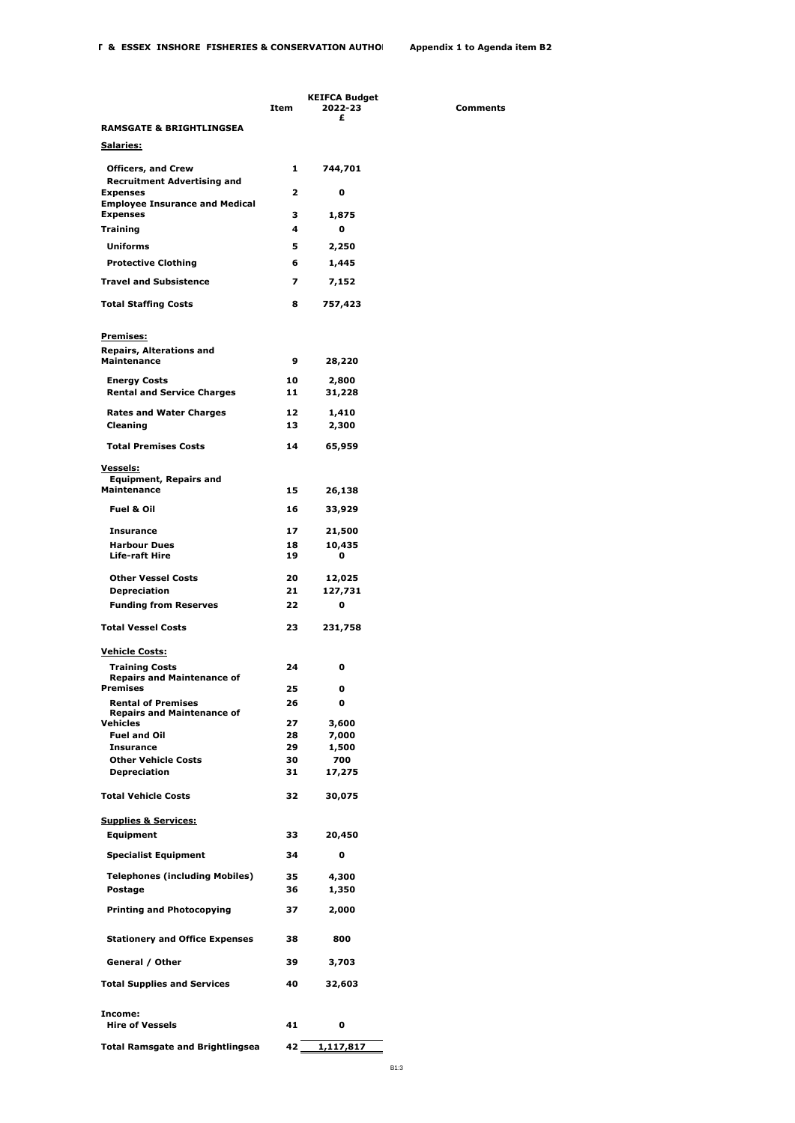**2022-23 Comments**

|                                                                        | Item     | KEIFCA Budget<br>2022-23 |  |
|------------------------------------------------------------------------|----------|--------------------------|--|
| <b>RAMSGATE &amp; BRIGHTLINGSEA</b>                                    |          | £                        |  |
| <u>Salaries:</u>                                                       |          |                          |  |
| <b>Officers, and Crew</b>                                              | 1        | 744,701                  |  |
| <b>Recruitment Advertising and</b><br><b>Expenses</b>                  | 2        | 0                        |  |
| <b>Employee Insurance and Medical</b><br><b>Expenses</b>               | з        | 1,875                    |  |
| Training                                                               | 4        | o                        |  |
| <b>Uniforms</b>                                                        | 5        | 2,250                    |  |
| <b>Protective Clothing</b>                                             | 6        | 1,445                    |  |
| <b>Travel and Subsistence</b>                                          | 7        | 7,152                    |  |
| <b>Total Staffing Costs</b>                                            | 8        | 757,423                  |  |
| <u>Premises:</u>                                                       |          |                          |  |
| <b>Repairs, Alterations and</b><br><b>Maintenance</b>                  | 9        | 28,220                   |  |
| <b>Energy Costs</b>                                                    | 10       | 2,800                    |  |
| <b>Rental and Service Charges</b>                                      | 11       | 31,228                   |  |
| <b>Rates and Water Charges</b>                                         | 12       | 1,410                    |  |
| Cleaning                                                               | 13       | 2,300                    |  |
| <b>Total Premises Costs</b>                                            | 14       | 65,959                   |  |
| <u>Vessels:</u><br><b>Equipment, Repairs and</b>                       |          |                          |  |
| <b>Maintenance</b>                                                     | 15       | 26,138                   |  |
| <b>Fuel &amp; Oil</b>                                                  | 16       | 33,929                   |  |
| <b>Insurance</b>                                                       | 17       | 21,500                   |  |
| <b>Harbour Dues</b><br>Life-raft Hire                                  | 18<br>19 | 10,435<br>0              |  |
| <b>Other Vessel Costs</b>                                              | 20       | 12,025                   |  |
| <b>Depreciation</b>                                                    | 21       | 127,731                  |  |
| <b>Funding from Reserves</b>                                           | 22       | $\mathbf 0$              |  |
| <b>Total Vessel Costs</b>                                              | 23       | 231,758                  |  |
| <b>Vehicle Costs:</b>                                                  |          |                          |  |
| <b>Training Costs</b><br><b>Repairs and Maintenance of</b><br>Premises | 24<br>25 | 0<br>0                   |  |
| <b>Rental of Premises</b>                                              | 26       | 0                        |  |
| <b>Repairs and Maintenance of</b><br>Vehicles                          | 27       | 3,600                    |  |
| <b>Fuel and Oil</b>                                                    | 28       | 7,000                    |  |
| <b>Insurance</b>                                                       | 29       | 1,500                    |  |
| <b>Other Vehicle Costs</b>                                             | 30       | 700                      |  |
| <b>Depreciation</b>                                                    | 31       | 17,275                   |  |
| <b>Total Vehicle Costs</b>                                             | 32       | 30,075                   |  |
| <b>Supplies &amp; Services:</b><br>Equipment                           | 33       | 20,450                   |  |
| <b>Specialist Equipment</b>                                            | 34       | 0                        |  |
| <b>Telephones (including Mobiles)</b>                                  | 35       | 4,300                    |  |
| Postage                                                                | 36       | 1,350                    |  |
| <b>Printing and Photocopying</b>                                       | 37       | 2,000                    |  |
| <b>Stationery and Office Expenses</b>                                  | 38       | 800                      |  |
| General / Other                                                        | 39       | 3,703                    |  |
| <b>Total Supplies and Services</b>                                     | 40       | 32,603                   |  |
| Income:<br><b>Hire of Vessels</b>                                      | 41       | 0                        |  |
|                                                                        | 42       | 1,117,817                |  |
| <b>Total Ramsgate and Brightlingsea</b>                                |          |                          |  |

B1:3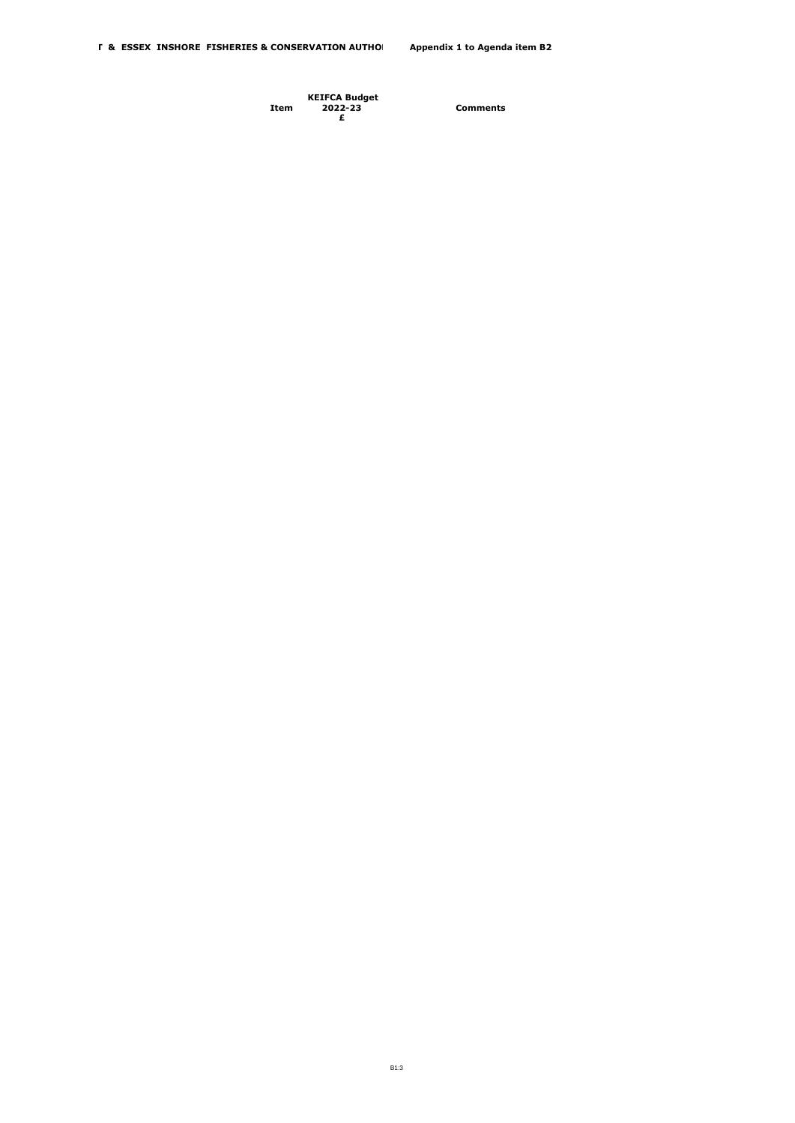**Item KEIFCA Budget 2022-23 Comments £**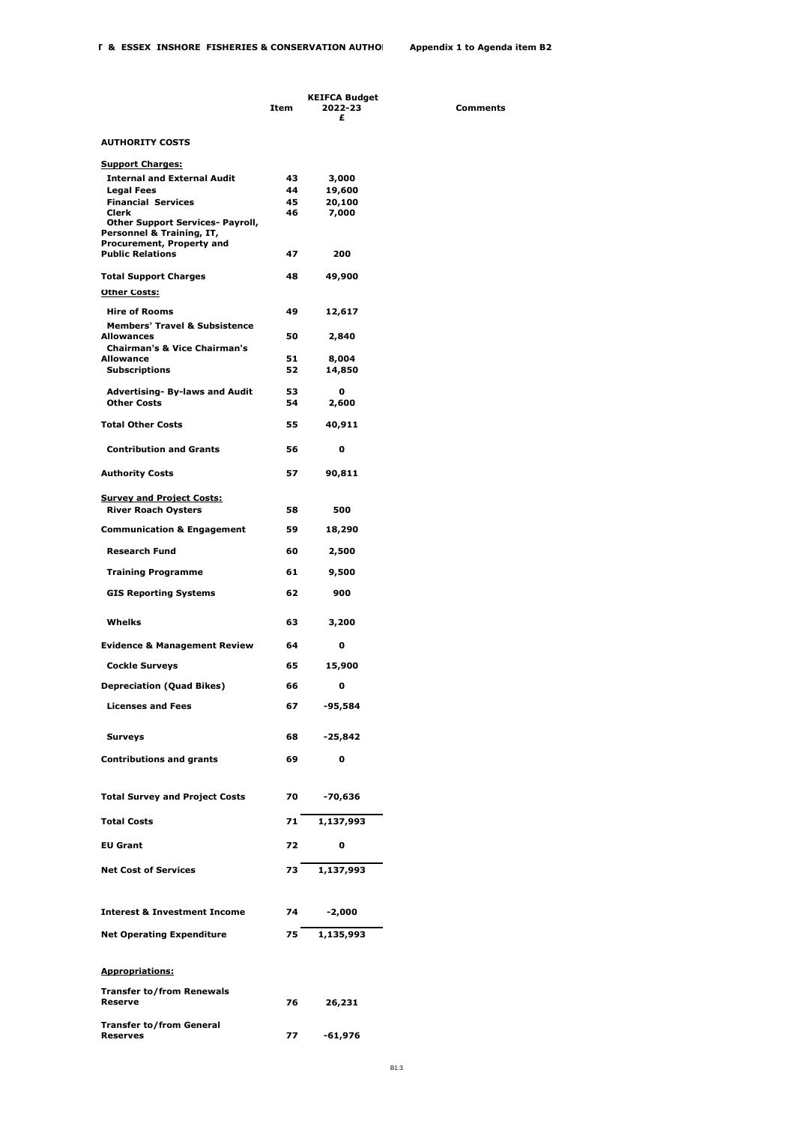|                                                                                                                                                                                                                               | Item                 | <b>KEIFCA Budget</b><br>2022-23<br>£ |
|-------------------------------------------------------------------------------------------------------------------------------------------------------------------------------------------------------------------------------|----------------------|--------------------------------------|
| <b>AUTHORITY COSTS</b>                                                                                                                                                                                                        |                      |                                      |
| <b>Support Charges:</b><br><b>Internal and External Audit</b><br><b>Legal Fees</b><br><b>Financial Services</b><br>Clerk<br><b>Other Support Services- Payroll,</b><br>Personnel & Training, IT,<br>Procurement, Property and | 43<br>44<br>45<br>46 | 3,000<br>19,600<br>20,100<br>7.000   |
| <b>Public Relations</b>                                                                                                                                                                                                       | 47                   | 200                                  |
| <b>Total Support Charges</b>                                                                                                                                                                                                  | 48                   | 49,900                               |
| <b>Other Costs:</b><br><b>Hire of Rooms</b>                                                                                                                                                                                   | 49                   | 12,617                               |
| <b>Members' Travel &amp; Subsistence</b><br>Allowances                                                                                                                                                                        | 50                   | 2,840                                |
| <b>Chairman's &amp; Vice Chairman's</b><br>Allowance                                                                                                                                                                          | 51                   | 8,004                                |
| <b>Subscriptions</b>                                                                                                                                                                                                          | 52                   | 14,850                               |
| <b>Advertising- By-laws and Audit</b><br><b>Other Costs</b>                                                                                                                                                                   | 53<br>54             | 0<br>2,600                           |
| <b>Total Other Costs</b>                                                                                                                                                                                                      | 55                   | 40,911                               |
| <b>Contribution and Grants</b>                                                                                                                                                                                                | 56                   | o                                    |
| <b>Authority Costs</b>                                                                                                                                                                                                        | 57                   | 90,811                               |
| <u>Survey and Project Costs:</u><br><b>River Roach Oysters</b>                                                                                                                                                                | 58                   | 500                                  |
| <b>Communication &amp; Engagement</b>                                                                                                                                                                                         | 59                   | 18,290                               |
| <b>Research Fund</b>                                                                                                                                                                                                          | 60                   | 2,500                                |
| <b>Training Programme</b>                                                                                                                                                                                                     | 61                   | 9,500                                |
| <b>GIS Reporting Systems</b>                                                                                                                                                                                                  | 62                   | 900                                  |
| Whelks                                                                                                                                                                                                                        | 63                   | 3,200                                |
| <b>Evidence &amp; Management Review</b>                                                                                                                                                                                       | 64                   | 0                                    |
| <b>Cockle Surveys</b>                                                                                                                                                                                                         | 65                   | 15,900                               |
| <b>Depreciation (Quad Bikes)</b>                                                                                                                                                                                              | 66                   | 0                                    |
| <b>Licenses and Fees</b>                                                                                                                                                                                                      | 67                   | $-95,584$                            |
| <b>Surveys</b>                                                                                                                                                                                                                | 68                   | $-25,842$                            |
| <b>Contributions and grants</b>                                                                                                                                                                                               | 69                   | 0                                    |
| <b>Total Survey and Project Costs</b>                                                                                                                                                                                         | 70                   | $-70,636$                            |
| <b>Total Costs</b>                                                                                                                                                                                                            | 71                   | 1,137,993                            |
| <b>EU Grant</b>                                                                                                                                                                                                               | 72                   | 0                                    |
| <b>Net Cost of Services</b>                                                                                                                                                                                                   | 73                   | 1,137,993                            |
| <b>Interest &amp; Investment Income</b>                                                                                                                                                                                       | 74                   | -2,000                               |
| <b>Net Operating Expenditure</b>                                                                                                                                                                                              | 75.                  | 1,135,993                            |
|                                                                                                                                                                                                                               |                      |                                      |
| <b>Appropriations:</b>                                                                                                                                                                                                        |                      |                                      |
| <b>Transfer to/from Renewals</b><br>Reserve                                                                                                                                                                                   | 76                   | 26,231                               |
| <b>Transfer to/from General</b><br><b>Reserves</b>                                                                                                                                                                            | 77                   | -61,976                              |

**2022-23 Comments**